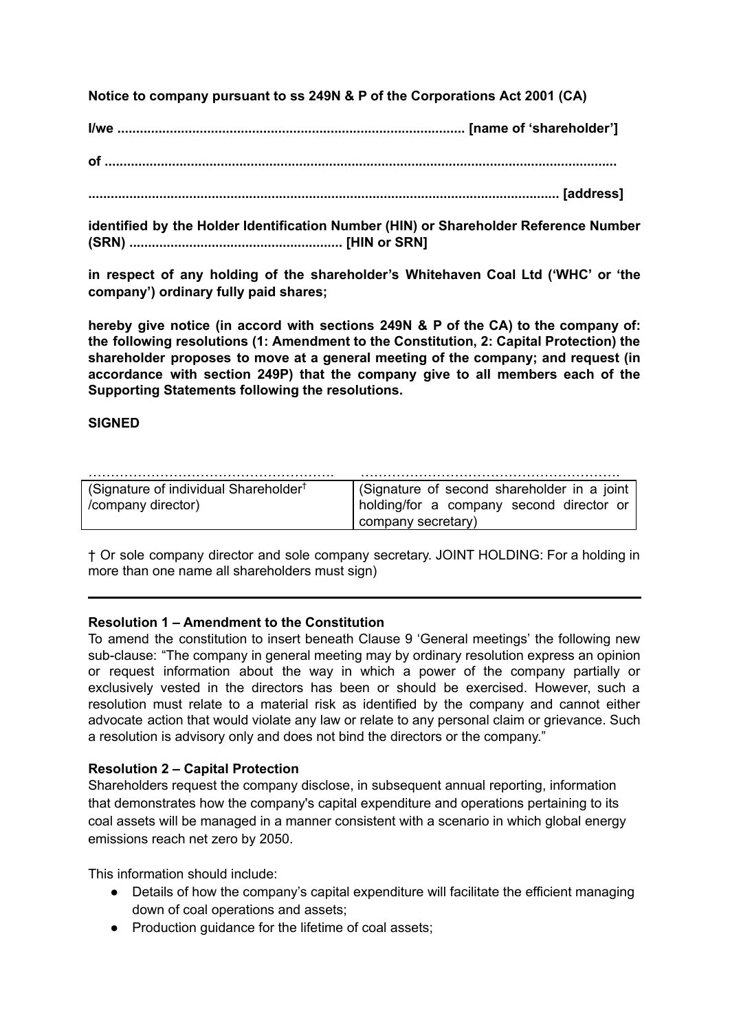**Notice to company pursuant to ss 249N & P of the Corporations Act 2001 (CA)**

**I/we ............................................................................................. [name of 'shareholder']**

**of .........................................................................................................................................**

**.............................................................................................................................. [address]**

**identified by the Holder Identification Number (HIN) or Shareholder Reference Number (SRN) ......................................................... [HIN or SRN]**

**in respect of any holding of the shareholder's Whitehaven Coal Ltd ('WHC' or 'the company') ordinary fully paid shares;**

**hereby give notice (in accord with sections 249N & P of the CA) to the company of: the following resolutions (1: Amendment to the Constitution, 2: Capital Protection) the shareholder proposes to move at a general meeting of the company; and request (in accordance with section 249P) that the company give to all members each of the Supporting Statements following the resolutions.**

# **SIGNED**

| (Signature of individual Shareholder <sup>†</sup> | (Signature of second shareholder in a joint) |
|---------------------------------------------------|----------------------------------------------|
| /company director)                                | holding/for a company second director or     |
|                                                   | company secretary)                           |

† Or sole company director and sole company secretary. JOINT HOLDING: For a holding in more than one name all shareholders must sign)

# **Resolution 1 – Amendment to the Constitution**

To amend the constitution to insert beneath Clause 9 'General meetings' the following new sub-clause: "The company in general meeting may by ordinary resolution express an opinion or request information about the way in which a power of the company partially or exclusively vested in the directors has been or should be exercised. However, such a resolution must relate to a material risk as identified by the company and cannot either advocate action that would violate any law or relate to any personal claim or grievance. Such a resolution is advisory only and does not bind the directors or the company."

# **Resolution 2 – Capital Protection**

Shareholders request the company disclose, in subsequent annual reporting, information that demonstrates how the company's capital expenditure and operations pertaining to its coal assets will be managed in a manner consistent with a scenario in which global energy emissions reach net zero by 2050.

This information should include:

- Details of how the company's capital expenditure will facilitate the efficient managing down of coal operations and assets;
- Production guidance for the lifetime of coal assets;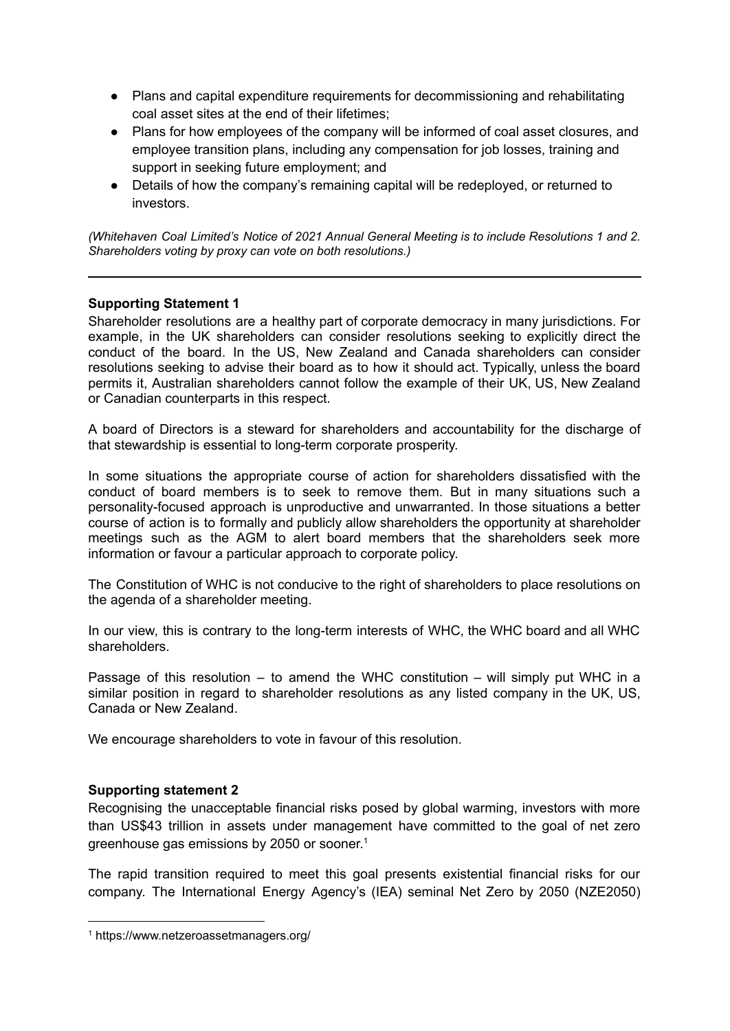- Plans and capital expenditure requirements for decommissioning and rehabilitating coal asset sites at the end of their lifetimes;
- Plans for how employees of the company will be informed of coal asset closures, and employee transition plans, including any compensation for job losses, training and support in seeking future employment; and
- Details of how the company's remaining capital will be redeployed, or returned to investors.

*(Whitehaven Coal Limited's Notice of 2021 Annual General Meeting is to include Resolutions 1 and 2. Shareholders voting by proxy can vote on both resolutions.)*

## **Supporting Statement 1**

Shareholder resolutions are a healthy part of corporate democracy in many jurisdictions. For example, in the UK shareholders can consider resolutions seeking to explicitly direct the conduct of the board. In the US, New Zealand and Canada shareholders can consider resolutions seeking to advise their board as to how it should act. Typically, unless the board permits it, Australian shareholders cannot follow the example of their UK, US, New Zealand or Canadian counterparts in this respect.

A board of Directors is a steward for shareholders and accountability for the discharge of that stewardship is essential to long-term corporate prosperity.

In some situations the appropriate course of action for shareholders dissatisfied with the conduct of board members is to seek to remove them. But in many situations such a personality-focused approach is unproductive and unwarranted. In those situations a better course of action is to formally and publicly allow shareholders the opportunity at shareholder meetings such as the AGM to alert board members that the shareholders seek more information or favour a particular approach to corporate policy.

The Constitution of WHC is not conducive to the right of shareholders to place resolutions on the agenda of a shareholder meeting.

In our view, this is contrary to the long-term interests of WHC, the WHC board and all WHC shareholders.

Passage of this resolution – to amend the WHC constitution – will simply put WHC in a similar position in regard to shareholder resolutions as any listed company in the UK, US, Canada or New Zealand.

We encourage shareholders to vote in favour of this resolution.

## **Supporting statement 2**

Recognising the unacceptable financial risks posed by global warming, investors with more than US\$43 trillion in assets under management have committed to the goal of net zero greenhouse gas emissions by 2050 or sooner. 1

The rapid transition required to meet this goal presents existential financial risks for our company. The International Energy Agency's (IEA) seminal Net Zero by 2050 (NZE2050)

<sup>1</sup> https://www.netzeroassetmanagers.org/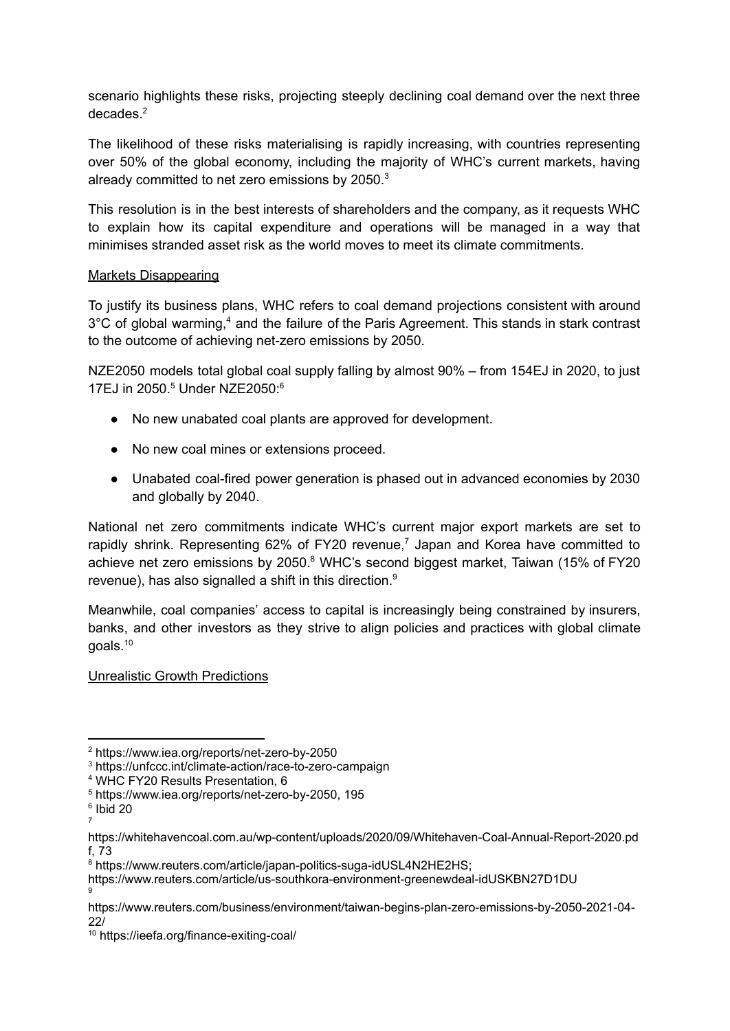scenario highlights these risks, projecting steeply declining coal demand over the next three decades. 2

The likelihood of these risks materialising is rapidly increasing, with countries representing over 50% of the global economy, including the majority of WHC's current markets, having already committed to net zero emissions by 2050. $^3$ 

This resolution is in the best interests of shareholders and the company, as it requests WHC to explain how its capital expenditure and operations will be managed in a way that minimises stranded asset risk as the world moves to meet its climate commitments.

## Markets Disappearing

To justify its business plans, WHC refers to coal demand projections consistent with around 3°C of global warming,<sup>4</sup> and the failure of the Paris Agreement. This stands in stark contrast to the outcome of achieving net-zero emissions by 2050.

NZE2050 models total global coal supply falling by almost 90% – from 154EJ in 2020, to just 17EJ in 2050. <sup>5</sup> Under NZE2050: 6

- No new unabated coal plants are approved for development.
- No new coal mines or extensions proceed.
- Unabated coal-fired power generation is phased out in advanced economies by 2030 and globally by 2040.

National net zero commitments indicate WHC's current major export markets are set to rapidly shrink. Representing 62% of FY20 revenue,<sup>7</sup> Japan and Korea have committed to achieve net zero emissions by 2050.<sup>8</sup> WHC's second biggest market, Taiwan (15% of FY20 revenue), has also signalled a shift in this direction. 9

Meanwhile, coal companies' access to capital is increasingly being constrained by insurers, banks, and other investors as they strive to align policies and practices with global climate goals. $^{10}$ 

# Unrealistic Growth Predictions

7 6 Ibid 20

<sup>2</sup> https://www.iea.org/reports/net-zero-by-2050

<sup>3</sup> https://unfccc.int/climate-action/race-to-zero-campaign

<sup>4</sup> WHC FY20 Results Presentation, 6

<sup>5</sup> https://www.iea.org/reports/net-zero-by-2050, 195

https://whitehavencoal.com.au/wp-content/uploads/2020/09/Whitehaven-Coal-Annual-Report-2020.pd f, 73

<sup>8</sup> https://www.reuters.com/article/japan-politics-suga-idUSL4N2HE2HS;

<sup>9</sup> https://www.reuters.com/article/us-southkora-environment-greenewdeal-idUSKBN27D1DU

https://www.reuters.com/business/environment/taiwan-begins-plan-zero-emissions-by-2050-2021-04- 22/

<sup>10</sup> https://ieefa.org/finance-exiting-coal/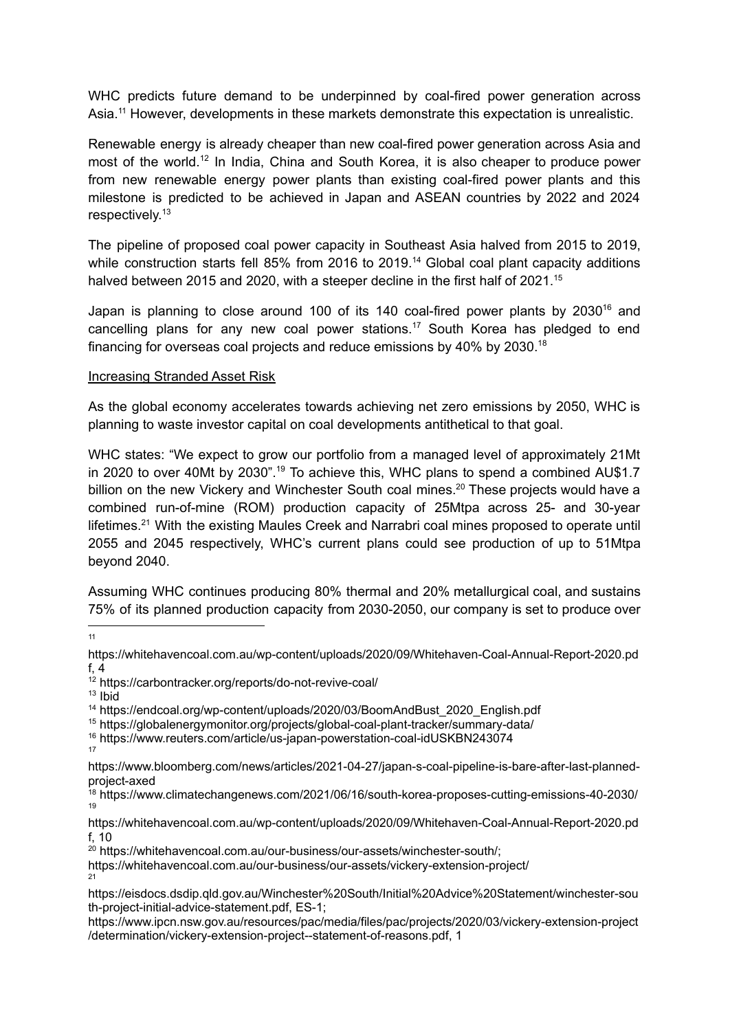WHC predicts future demand to be underpinned by coal-fired power generation across Asia.<sup>11</sup> However, developments in these markets demonstrate this expectation is unrealistic.

Renewable energy is already cheaper than new coal-fired power generation across Asia and most of the world.<sup>12</sup> In India, China and South Korea, it is also cheaper to produce power from new renewable energy power plants than existing coal-fired power plants and this milestone is predicted to be achieved in Japan and ASEAN countries by 2022 and 2024 respectively.<sup>13</sup>

The pipeline of proposed coal power capacity in Southeast Asia halved from 2015 to 2019, while construction starts fell 85% from 2016 to 2019.<sup>14</sup> Global coal plant capacity additions halved between 2015 and 2020, with a steeper decline in the first half of 2021.<sup>15</sup>

Japan is planning to close around 100 of its 140 coal-fired power plants by 2030<sup>16</sup> and cancelling plans for any new coal power stations. <sup>17</sup> South Korea has pledged to end financing for overseas coal projects and reduce emissions by 40% by 2030.<sup>18</sup>

### Increasing Stranded Asset Risk

As the global economy accelerates towards achieving net zero emissions by 2050, WHC is planning to waste investor capital on coal developments antithetical to that goal.

WHC states: "We expect to grow our portfolio from a managed level of approximately 21Mt in 2020 to over 40Mt by 2030".<sup>19</sup> To achieve this, WHC plans to spend a combined AU\$1.7 billion on the new Vickery and Winchester South coal mines.<sup>20</sup> These projects would have a combined run-of-mine (ROM) production capacity of 25Mtpa across 25- and 30-year lifetimes.<sup>21</sup> With the existing Maules Creek and Narrabri coal mines proposed to operate until 2055 and 2045 respectively, WHC's current plans could see production of up to 51Mtpa beyond 2040.

Assuming WHC continues producing 80% thermal and 20% metallurgical coal, and sustains 75% of its planned production capacity from 2030-2050, our company is set to produce over

11

 $13$  Ibid

17

21 https://whitehavencoal.com.au/our-business/our-assets/vickery-extension-project/

https://whitehavencoal.com.au/wp-content/uploads/2020/09/Whitehaven-Coal-Annual-Report-2020.pd f, 4

<sup>12</sup> https://carbontracker.org/reports/do-not-revive-coal/

<sup>&</sup>lt;sup>14</sup> https://endcoal.org/wp-content/uploads/2020/03/BoomAndBust\_2020\_English.pdf

<sup>15</sup> https://globalenergymonitor.org/projects/global-coal-plant-tracker/summary-data/

<sup>16</sup> https://www.reuters.com/article/us-japan-powerstation-coal-idUSKBN243074

https://www.bloomberg.com/news/articles/2021-04-27/japan-s-coal-pipeline-is-bare-after-last-plannedproject-axed

<sup>19</sup> <sup>18</sup> https://www.climatechangenews.com/2021/06/16/south-korea-proposes-cutting-emissions-40-2030/

https://whitehavencoal.com.au/wp-content/uploads/2020/09/Whitehaven-Coal-Annual-Report-2020.pd f, 10

 $20$  https://whitehavencoal.com.au/our-business/our-assets/winchester-south/;

https://eisdocs.dsdip.qld.gov.au/Winchester%20South/Initial%20Advice%20Statement/winchester-sou th-project-initial-advice-statement.pdf, ES-1;

https://www.ipcn.nsw.gov.au/resources/pac/media/files/pac/projects/2020/03/vickery-extension-project /determination/vickery-extension-project--statement-of-reasons.pdf, 1